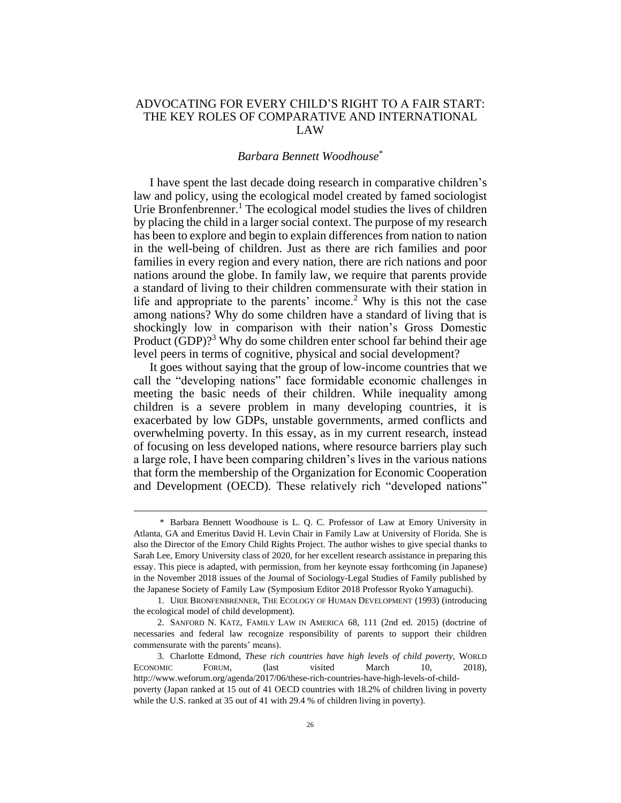## ADVOCATING FOR EVERY CHILD'S RIGHT TO A FAIR START: THE KEY ROLES OF COMPARATIVE AND INTERNATIONAL LAW

## <span id="page-0-0"></span>*Barbara Bennett Woodhouse*\*

I have spent the last decade doing research in comparative children's law and policy, using the ecological model created by famed sociologist Urie Bronfenbrenner.<sup>1</sup> The ecological model studies the lives of children by placing the child in a larger social context. The purpose of my research has been to explore and begin to explain differences from nation to nation in the well-being of children. Just as there are rich families and poor families in every region and every nation, there are rich nations and poor nations around the globe. In family law, we require that parents provide a standard of living to their children commensurate with their station in life and appropriate to the parents' income.<sup>2</sup> Why is this not the case among nations? Why do some children have a standard of living that is shockingly low in comparison with their nation's Gross Domestic Product  $(GDP)$ ?<sup>3</sup> Why do some children enter school far behind their age level peers in terms of cognitive, physical and social development?

It goes without saying that the group of low-income countries that we call the "developing nations" face formidable economic challenges in meeting the basic needs of their children. While inequality among children is a severe problem in many developing countries, it is exacerbated by low GDPs, unstable governments, armed conflicts and overwhelming poverty. In this essay, as in my current research, instead of focusing on less developed nations, where resource barriers play such a large role, I have been comparing children's lives in the various nations that form the membership of the Organization for Economic Cooperation and Development (OECD). These relatively rich "developed nations"

<sup>\*</sup> Barbara Bennett Woodhouse is L. Q. C. Professor of Law at Emory University in Atlanta, GA and Emeritus David H. Levin Chair in Family Law at University of Florida. She is also the Director of the Emory Child Rights Project. The author wishes to give special thanks to Sarah Lee, Emory University class of 2020, for her excellent research assistance in preparing this essay. This piece is adapted, with permission, from her keynote essay forthcoming (in Japanese) in the November 2018 issues of the Journal of Sociology-Legal Studies of Family published by the Japanese Society of Family Law (Symposium Editor 2018 Professor Ryoko Yamaguchi).

<sup>1.</sup> URIE BRONFENBRENNER, THE ECOLOGY OF HUMAN DEVELOPMENT (1993) (introducing the ecological model of child development).

<sup>2.</sup> SANFORD N. KATZ, FAMILY LAW IN AMERICA 68, 111 (2nd ed. 2015) (doctrine of necessaries and federal law recognize responsibility of parents to support their children commensurate with the parents' means).

<sup>3.</sup> Charlotte Edmond, *These rich countries have high levels of child poverty*, WORLD ECONOMIC FORUM, (last visited March 10, 2018), [http://www.weforum.org/agenda/2017/06/these-rich-countries-have-high-levels-of-child](http://www.weforum.org/agenda/2017/06/these-rich-countries-have-high-levels-of-child-poverty)[poverty](http://www.weforum.org/agenda/2017/06/these-rich-countries-have-high-levels-of-child-poverty) (Japan ranked at 15 out of 41 OECD countries with 18.2% of children living in poverty while the U.S. ranked at 35 out of 41 with 29.4 % of children living in poverty).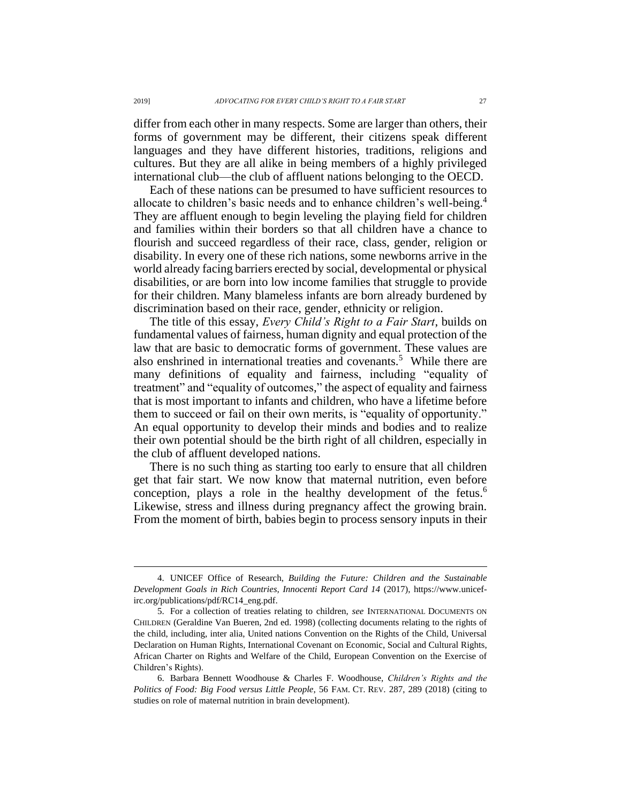differ from each other in many respects. Some are larger than others, their forms of government may be different, their citizens speak different languages and they have different histories, traditions, religions and cultures. But they are all alike in being members of a highly privileged international club—the club of affluent nations belonging to the OECD.

<span id="page-1-0"></span>Each of these nations can be presumed to have sufficient resources to allocate to children's basic needs and to enhance children's well-being.<sup>4</sup> They are affluent enough to begin leveling the playing field for children and families within their borders so that all children have a chance to flourish and succeed regardless of their race, class, gender, religion or disability. In every one of these rich nations, some newborns arrive in the world already facing barriers erected by social, developmental or physical disabilities, or are born into low income families that struggle to provide for their children. Many blameless infants are born already burdened by discrimination based on their race, gender, ethnicity or religion.

The title of this essay, *Every Child's Right to a Fair Start*, builds on fundamental values of fairness, human dignity and equal protection of the law that are basic to democratic forms of government. These values are also enshrined in international treaties and covenants.<sup>5</sup> While there are many definitions of equality and fairness, including "equality of treatment" and "equality of outcomes," the aspect of equality and fairness that is most important to infants and children, who have a lifetime before them to succeed or fail on their own merits, is "equality of opportunity." An equal opportunity to develop their minds and bodies and to realize their own potential should be the birth right of all children, especially in the club of affluent developed nations.

<span id="page-1-1"></span>There is no such thing as starting too early to ensure that all children get that fair start. We now know that maternal nutrition, even before conception, plays a role in the healthy development of the fetus.<sup>6</sup> Likewise, stress and illness during pregnancy affect the growing brain. From the moment of birth, babies begin to process sensory inputs in their

<sup>4.</sup> UNICEF Office of Research, *Building the Future: Children and the Sustainable Development Goals in Rich Countries, Innocenti Report Card 14* (2017), https://www.unicefirc.org/publications/pdf/RC14\_eng.pdf.

<sup>5.</sup> For a collection of treaties relating to children, *see* INTERNATIONAL DOCUMENTS ON CHILDREN (Geraldine Van Bueren, 2nd ed. 1998) (collecting documents relating to the rights of the child, including, inter alia, United nations Convention on the Rights of the Child, Universal Declaration on Human Rights, International Covenant on Economic, Social and Cultural Rights, African Charter on Rights and Welfare of the Child, European Convention on the Exercise of Children's Rights).

<sup>6.</sup> Barbara Bennett Woodhouse & Charles F. Woodhouse, *Children's Rights and the Politics of Food: Big Food versus Little People*, 56 FAM. CT. REV. 287, 289 (2018) (citing to studies on role of maternal nutrition in brain development).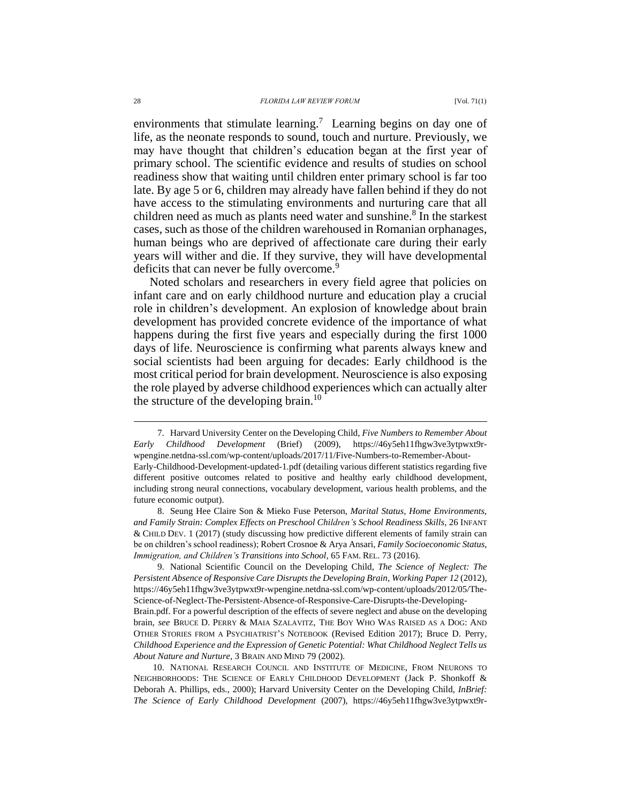environments that stimulate learning.<sup>7</sup> Learning begins on day one of life, as the neonate responds to sound, touch and nurture. Previously, we may have thought that children's education began at the first year of primary school. The scientific evidence and results of studies on school readiness show that waiting until children enter primary school is far too late. By age 5 or 6, children may already have fallen behind if they do not have access to the stimulating environments and nurturing care that all children need as much as plants need water and sunshine.<sup>8</sup> In the starkest cases, such as those of the children warehoused in Romanian orphanages, human beings who are deprived of affectionate care during their early years will wither and die. If they survive, they will have developmental deficits that can never be fully overcome.<sup>9</sup>

Noted scholars and researchers in every field agree that policies on infant care and on early childhood nurture and education play a crucial role in children's development. An explosion of knowledge about brain development has provided concrete evidence of the importance of what happens during the first five years and especially during the first 1000 days of life. Neuroscience is confirming what parents always knew and social scientists had been arguing for decades: Early childhood is the most critical period for brain development. Neuroscience is also exposing the role played by adverse childhood experiences which can actually alter the structure of the developing brain.<sup>10</sup>

<sup>7.</sup> Harvard University Center on the Developing Child, *Five Numbers to Remember About Early Childhood Development* (Brief) (2009), https://46y5eh11fhgw3ve3ytpwxt9rwpengine.netdna-ssl.com/wp-content/uploads/2017/11/Five-Numbers-to-Remember-About-Early-Childhood-Development-updated-1.pdf (detailing various different statistics regarding five different positive outcomes related to positive and healthy early childhood development, including strong neural connections, vocabulary development, various health problems, and the future economic output).

<sup>8.</sup> Seung Hee Claire Son & Mieko Fuse Peterson, *Marital Status, Home Environments, and Family Strain: Complex Effects on Preschool Children's School Readiness Skills*, 26 INFANT & CHILD DEV. 1 (2017) (study discussing how predictive different elements of family strain can be on children's school readiness); Robert Crosnoe & Arya Ansari, *Family Socioeconomic Status, Immigration, and Children's Transitions into School*, 65 FAM. REL. 73 (2016).

<sup>9.</sup> National Scientific Council on the Developing Child, *The Science of Neglect: The Persistent Absence of Responsive Care Disrupts the Developing Brain, Working Paper 12* (2012), https://46y5eh11fhgw3ve3ytpwxt9r-wpengine.netdna-ssl.com/wp-content/uploads/2012/05/The-Science-of-Neglect-The-Persistent-Absence-of-Responsive-Care-Disrupts-the-Developing-

Brain.pdf. For a powerful description of the effects of severe neglect and abuse on the developing brain, *see* BRUCE D. PERRY & MAIA SZALAVITZ, THE BOY WHO WAS RAISED AS A DOG: AND OTHER STORIES FROM A PSYCHIATRIST'S NOTEBOOK (Revised Edition 2017); Bruce D. Perry, *Childhood Experience and the Expression of Genetic Potential: What Childhood Neglect Tells us About Nature and Nurture*, 3 BRAIN AND MIND 79 (2002).

<sup>10.</sup> NATIONAL RESEARCH COUNCIL AND INSTITUTE OF MEDICINE, FROM NEURONS TO NEIGHBORHOODS: THE SCIENCE OF EARLY CHILDHOOD DEVELOPMENT (Jack P. Shonkoff & Deborah A. Phillips, eds., 2000); Harvard University Center on the Developing Child, *InBrief: The Science of Early Childhood Development* (2007), https://46y5eh11fhgw3ve3ytpwxt9r-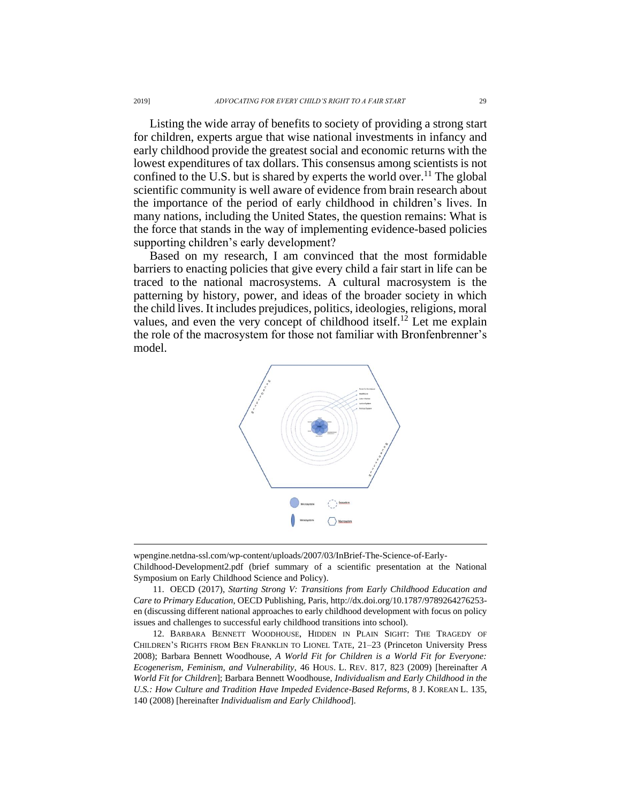Listing the wide array of benefits to society of providing a strong start for children, experts argue that wise national investments in infancy and early childhood provide the greatest social and economic returns with the lowest expenditures of tax dollars. This consensus among scientists is not confined to the U.S. but is shared by experts the world over.<sup>11</sup> The global scientific community is well aware of evidence from brain research about the importance of the period of early childhood in children's lives. In many nations, including the United States, the question remains: What is the force that stands in the way of implementing evidence-based policies supporting children's early development?

Based on my research, I am convinced that the most formidable barriers to enacting policies that give every child a fair start in life can be traced to the national macrosystems. A cultural macrosystem is the patterning by history, power, and ideas of the broader society in which the child lives. It includes prejudices, politics, ideologies, religions, moral values, and even the very concept of childhood itself.<sup>12</sup> Let me explain the role of the macrosystem for those not familiar with Bronfenbrenner's model.

<span id="page-3-0"></span>

wpengine.netdna-ssl.com/wp-content/uploads/2007/03/InBrief-The-Science-of-Early-

Childhood-Development2.pdf (brief summary of a scientific presentation at the National Symposium on Early Childhood Science and Policy).

<sup>11.</sup> OECD (2017), *Starting Strong V: Transitions from Early Childhood Education and Care to Primary Education*, OECD Publishing, Paris, [http://dx.doi.org/10.1787/9789264276253](http://dx.doi.org/10.1787/9789264276253-en) [en](http://dx.doi.org/10.1787/9789264276253-en) (discussing different national approaches to early childhood development with focus on policy issues and challenges to successful early childhood transitions into school).

<sup>12.</sup> BARBARA BENNETT WOODHOUSE, HIDDEN IN PLAIN SIGHT: THE TRAGEDY OF CHILDREN'S RIGHTS FROM BEN FRANKLIN TO LIONEL TATE, 21–23 (Princeton University Press 2008); Barbara Bennett Woodhouse, *A World Fit for Children is a World Fit for Everyone: Ecogenerism, Feminism, and Vulnerability*, 46 HOUS. L. REV. 817, 823 (2009) [hereinafter *A World Fit for Children*]; Barbara Bennett Woodhouse, *Individualism and Early Childhood in the U.S.: How Culture and Tradition Have Impeded Evidence-Based Reforms*, 8 J. KOREAN L. 135, 140 (2008) [hereinafter *Individualism and Early Childhood*].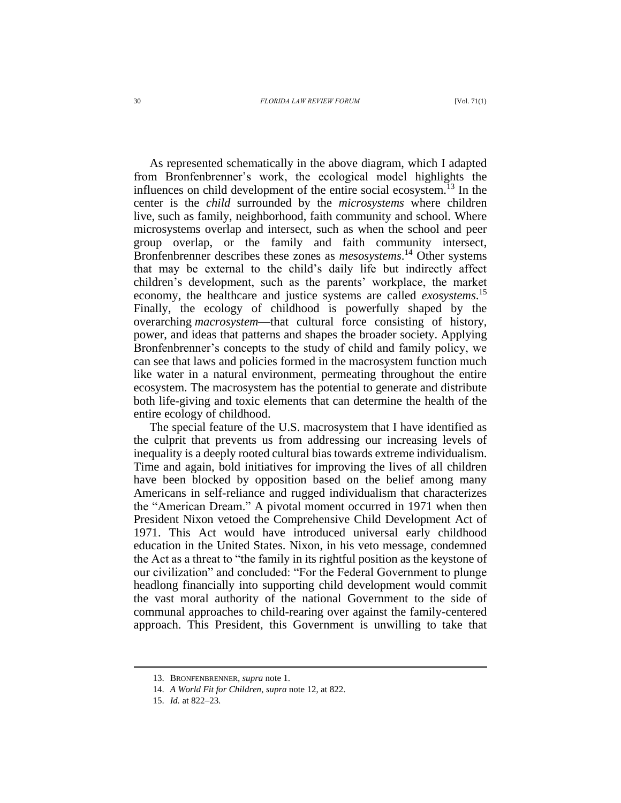## 30 *FLORIDA LAW REVIEW FORUM* [Vol. 71(1)

As represented schematically in the above diagram, which I adapted from Bronfenbrenner's work, the ecological model highlights the influences on child development of the entire social ecosystem.<sup>13</sup> In the center is the *child* surrounded by the *microsystems* where children live, such as family, neighborhood, faith community and school. Where microsystems overlap and intersect, such as when the school and peer group overlap, or the family and faith community intersect, Bronfenbrenner describes these zones as *mesosystems*. <sup>14</sup> Other systems that may be external to the child's daily life but indirectly affect children's development, such as the parents' workplace, the market economy, the healthcare and justice systems are called *exosystems*. 15 Finally, the ecology of childhood is powerfully shaped by the overarching *macrosystem*—that cultural force consisting of history, power, and ideas that patterns and shapes the broader society. Applying Bronfenbrenner's concepts to the study of child and family policy, we can see that laws and policies formed in the macrosystem function much like water in a natural environment, permeating throughout the entire ecosystem. The macrosystem has the potential to generate and distribute both life-giving and toxic elements that can determine the health of the entire ecology of childhood.

The special feature of the U.S. macrosystem that I have identified as the culprit that prevents us from addressing our increasing levels of inequality is a deeply rooted cultural bias towards extreme individualism. Time and again, bold initiatives for improving the lives of all children have been blocked by opposition based on the belief among many Americans in self-reliance and rugged individualism that characterizes the "American Dream." A pivotal moment occurred in 1971 when then President Nixon vetoed the Comprehensive Child Development Act of 1971. This Act would have introduced universal early childhood education in the United States. Nixon, in his veto message, condemned the Act as a threat to "the family in its rightful position as the keystone of our civilization" and concluded: "For the Federal Government to plunge headlong financially into supporting child development would commit the vast moral authority of the national Government to the side of communal approaches to child-rearing over against the family-centered approach. This President, this Government is unwilling to take that

<sup>13.</sup> BRONFENBRENNER*, supra* not[e 1.](#page-0-0)

<sup>14.</sup> *A World Fit for Children*, *supra* not[e 12,](#page-3-0) at 822.

<sup>15.</sup> *Id.* at 822–23.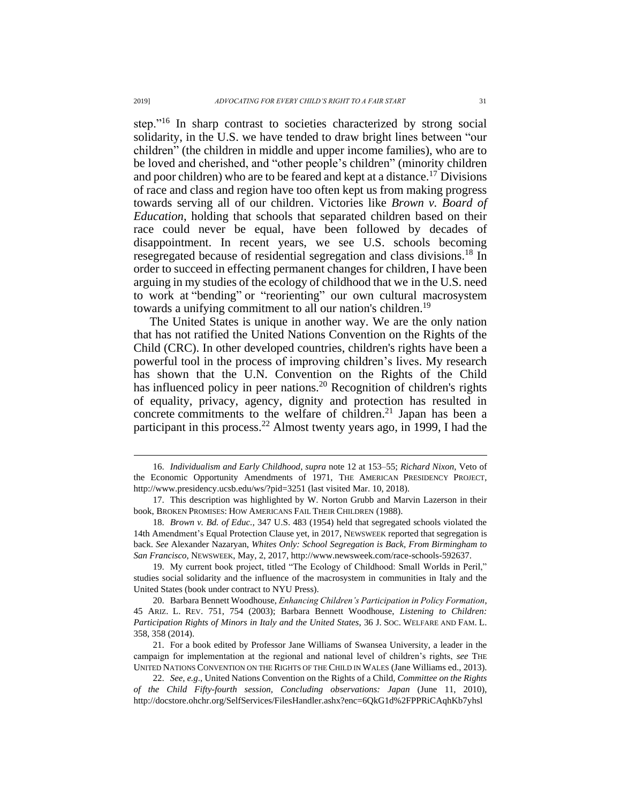step."<sup>16</sup> In sharp contrast to societies characterized by strong social solidarity, in the U.S. we have tended to draw bright lines between "our children" (the children in middle and upper income families), who are to be loved and cherished, and "other people's children" (minority children and poor children) who are to be feared and kept at a distance.<sup>17</sup> Divisions of race and class and region have too often kept us from making progress towards serving all of our children. Victories like *Brown v. Board of Education*, holding that schools that separated children based on their race could never be equal, have been followed by decades of disappointment. In recent years, we see U.S. schools becoming resegregated because of residential segregation and class divisions.<sup>18</sup> In order to succeed in effecting permanent changes for children, I have been arguing in my studies of the ecology of childhood that we in the U.S. need to work at "bending" or "reorienting" our own cultural macrosystem towards a unifying commitment to all our nation's children.<sup>19</sup>

The United States is unique in another way. We are the only nation that has not ratified the United Nations Convention on the Rights of the Child (CRC). In other developed countries, children's rights have been a powerful tool in the process of improving children's lives. My research has shown that the U.N. Convention on the Rights of the Child has influenced policy in peer nations.<sup>20</sup> Recognition of children's rights of equality, privacy, agency, dignity and protection has resulted in concrete commitments to the welfare of children.<sup>21</sup> Japan has been a participant in this process.<sup>22</sup> Almost twenty years ago, in 1999, I had the

19. My current book project, titled "The Ecology of Childhood: Small Worlds in Peril," studies social solidarity and the influence of the macrosystem in communities in Italy and the United States (book under contract to NYU Press).

20. Barbara Bennett Woodhouse, *Enhancing Children's Participation in Policy Formation*, 45 ARIZ. L. REV. 751, 754 (2003); Barbara Bennett Woodhouse, *Listening to Children: Participation Rights of Minors in Italy and the United States*, 36 J. SOC. WELFARE AND FAM. L. 358, 358 (2014).

21. For a book edited by Professor Jane Williams of Swansea University, a leader in the campaign for implementation at the regional and national level of children's rights, *see* THE UNITED NATIONS CONVENTION ON THE RIGHTS OF THE CHILD IN WALES (Jane Williams ed., 2013).

22. *See, e.g*., United Nations Convention on the Rights of a Child, *Committee on the Rights of the Child Fifty-fourth session, Concluding observations: Japan* (June 11, 2010), http://docstore.ohchr.org/SelfServices/FilesHandler.ashx?enc=6QkG1d%2FPPRiCAqhKb7yhsl

<sup>16.</sup> *Individualism and Early Childhood*, *supra* note [12](#page-3-0) at 153–55; *Richard Nixon*, Veto of the Economic Opportunity Amendments of 1971, THE AMERICAN PRESIDENCY PROJECT, http://www.presidency.ucsb.edu/ws/?pid=3251 (last visited Mar. 10, 2018).

<sup>17.</sup> This description was highlighted by W. Norton Grubb and Marvin Lazerson in their book, BROKEN PROMISES: HOW AMERICANS FAIL THEIR CHILDREN (1988).

<sup>18.</sup> *Brown v. Bd. of Educ.,* 347 U.S. 483 (1954) held that segregated schools violated the 14th Amendment's Equal Protection Clause yet, in 2017, NEWSWEEK reported that segregation is back. *See* Alexander Nazaryan, *Whites Only: School Segregation is Back, From Birmingham to San Francisco*, NEWSWEEK, May, 2, 2017, [http://www.newsweek.com/race-schools-592637.](http://www.newsweek.com/race-schools-592637)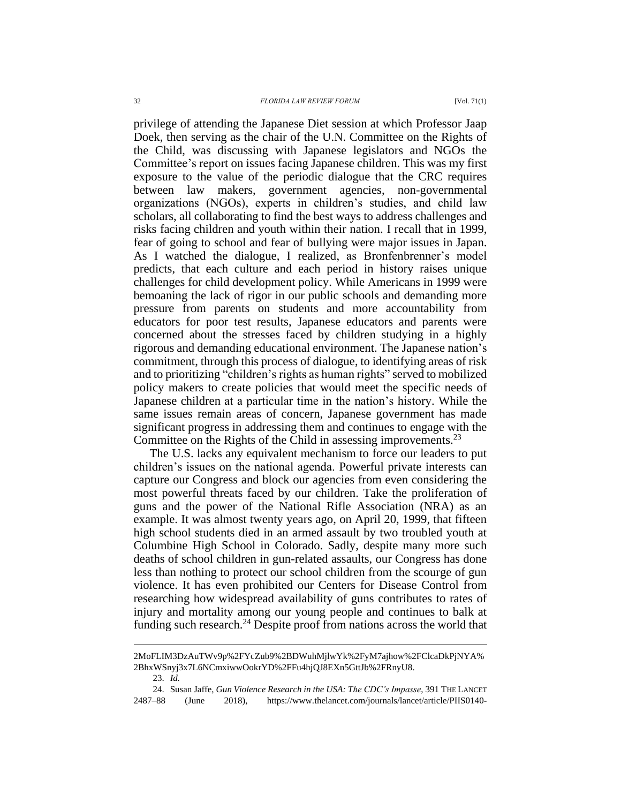privilege of attending the Japanese Diet session at which Professor Jaap Doek, then serving as the chair of the U.N. Committee on the Rights of the Child, was discussing with Japanese legislators and NGOs the Committee's report on issues facing Japanese children. This was my first exposure to the value of the periodic dialogue that the CRC requires between law makers, government agencies, non-governmental organizations (NGOs), experts in children's studies, and child law scholars, all collaborating to find the best ways to address challenges and risks facing children and youth within their nation. I recall that in 1999, fear of going to school and fear of bullying were major issues in Japan. As I watched the dialogue, I realized, as Bronfenbrenner's model predicts, that each culture and each period in history raises unique challenges for child development policy. While Americans in 1999 were bemoaning the lack of rigor in our public schools and demanding more pressure from parents on students and more accountability from educators for poor test results, Japanese educators and parents were concerned about the stresses faced by children studying in a highly rigorous and demanding educational environment. The Japanese nation's commitment, through this process of dialogue, to identifying areas of risk and to prioritizing "children's rights as human rights" served to mobilized policy makers to create policies that would meet the specific needs of Japanese children at a particular time in the nation's history. While the same issues remain areas of concern, Japanese government has made significant progress in addressing them and continues to engage with the Committee on the Rights of the Child in assessing improvements.<sup>23</sup>

The U.S. lacks any equivalent mechanism to force our leaders to put children's issues on the national agenda. Powerful private interests can capture our Congress and block our agencies from even considering the most powerful threats faced by our children. Take the proliferation of guns and the power of the National Rifle Association (NRA) as an example. It was almost twenty years ago, on April 20, 1999, that fifteen high school students died in an armed assault by two troubled youth at Columbine High School in Colorado. Sadly, despite many more such deaths of school children in gun-related assaults, our Congress has done less than nothing to protect our school children from the scourge of gun violence. It has even prohibited our Centers for Disease Control from researching how widespread availability of guns contributes to rates of injury and mortality among our young people and continues to balk at funding such research.<sup>24</sup> Despite proof from nations across the world that

<span id="page-6-0"></span>23. *Id.*

<sup>2</sup>MoFLIM3DzAuTWv9p%2FYcZub9%2BDWuhMjlwYk%2FyM7ajhow%2FClcaDkPjNYA% 2BhxWSnyj3x7L6NCmxiwwOokrYD%2FFu4hjQJ8EXn5GttJb%2FRnyU8.

<sup>24.</sup> Susan Jaffe, *Gun Violence Research in the USA: The CDC's Impasse*, 391 THE LANCET 2487–88 (June 2018), https://www.thelancet.com/journals/lancet/article/PIIS0140-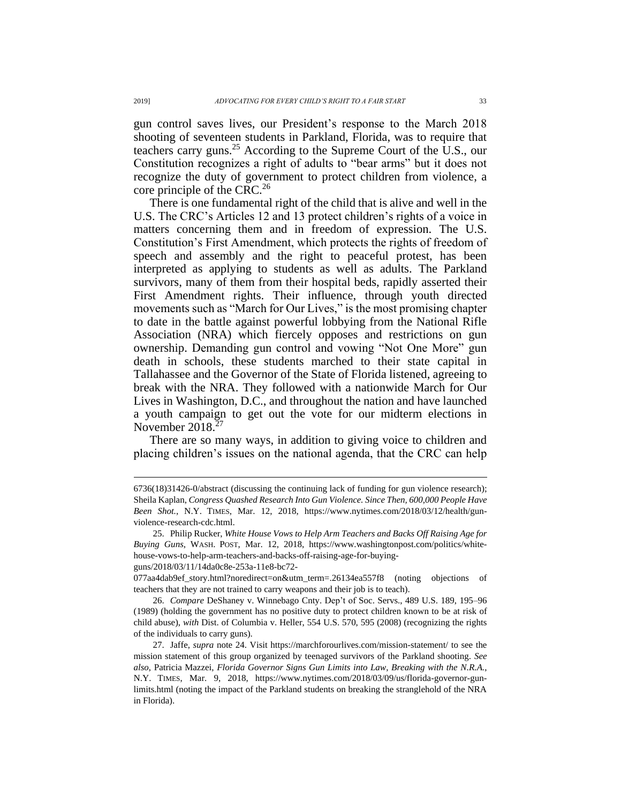gun control saves lives, our President's response to the March 2018 shooting of seventeen students in Parkland, Florida, was to require that teachers carry guns.<sup>25</sup> According to the Supreme Court of the U.S., our Constitution recognizes a right of adults to "bear arms" but it does not recognize the duty of government to protect children from violence, a core principle of the CRC.<sup>26</sup>

There is one fundamental right of the child that is alive and well in the U.S. The CRC's Articles 12 and 13 protect children's rights of a voice in matters concerning them and in freedom of expression. The U.S. Constitution's First Amendment, which protects the rights of freedom of speech and assembly and the right to peaceful protest, has been interpreted as applying to students as well as adults. The Parkland survivors, many of them from their hospital beds, rapidly asserted their First Amendment rights. Their influence, through youth directed movements such as "March for Our Lives," is the most promising chapter to date in the battle against powerful lobbying from the National Rifle Association (NRA) which fiercely opposes and restrictions on gun ownership. Demanding gun control and vowing "Not One More" gun death in schools, these students marched to their state capital in Tallahassee and the Governor of the State of Florida listened, agreeing to break with the NRA. They followed with a nationwide March for Our Lives in Washington, D.C., and throughout the nation and have launched a youth campaign to get out the vote for our midterm elections in November 2018.<sup>27</sup>

There are so many ways, in addition to giving voice to children and placing children's issues on the national agenda, that the CRC can help

guns/2018/03/11/14da0c8e-253a-11e8-bc72-

077aa4dab9ef\_story.html?noredirect=on&utm\_term=.26134ea557f8 (noting objections of teachers that they are not trained to carry weapons and their job is to teach).

26. *Compare* DeShaney v. Winnebago Cnty. Dep't of Soc. Servs., 489 U.S. 189, 195–96 (1989) (holding the government has no positive duty to protect children known to be at risk of child abuse), *with* Dist. of Columbia v. Heller, 554 U.S. 570, 595 (2008) (recognizing the rights of the individuals to carry guns).

<sup>6736(18)31426-0/</sup>abstract (discussing the continuing lack of funding for gun violence research); Sheila Kaplan, *Congress Quashed Research Into Gun Violence. Since Then, 600,000 People Have Been Shot.*, N.Y. TIMES, Mar. 12, 2018, https://www.nytimes.com/2018/03/12/health/gunviolence-research-cdc.html.

<sup>25.</sup> Philip Rucker, *White House Vows to Help Arm Teachers and Backs Off Raising Age for Buying Guns*, WASH. POST, Mar. 12, 2018, https://www.washingtonpost.com/politics/whitehouse-vows-to-help-arm-teachers-and-backs-off-raising-age-for-buying-

<sup>27.</sup> Jaffe, *supra* note [24.](#page-6-0) Visit https://marchforourlives.com/mission-statement/ to see the mission statement of this group organized by teenaged survivors of the Parkland shooting. *See also*, Patricia Mazzei, *Florida Governor Signs Gun Limits into Law, Breaking with the N.R.A.*, N.Y. TIMES, Mar. 9, 2018, https://www.nytimes.com/2018/03/09/us/florida-governor-gunlimits.html (noting the impact of the Parkland students on breaking the stranglehold of the NRA in Florida).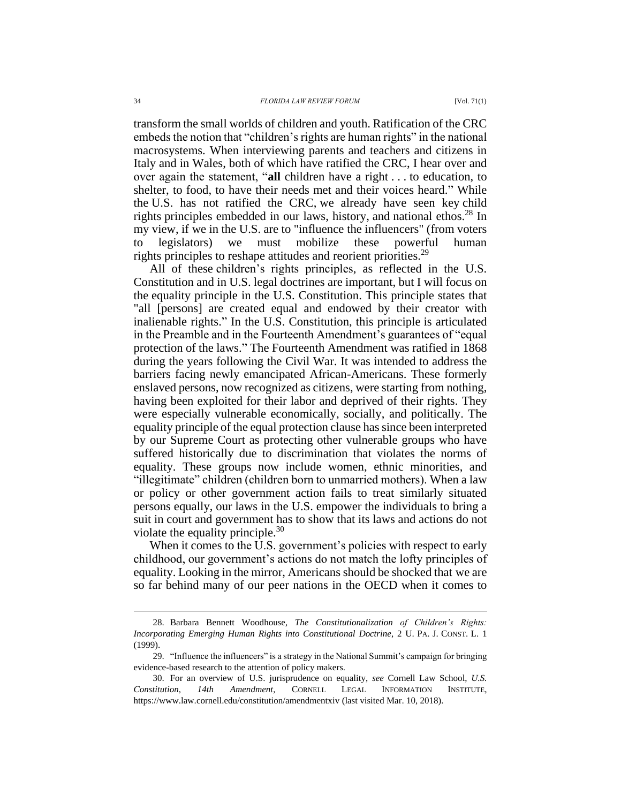transform the small worlds of children and youth. Ratification of the CRC embeds the notion that "children's rights are human rights" in the national macrosystems. When interviewing parents and teachers and citizens in Italy and in Wales, both of which have ratified the CRC, I hear over and over again the statement, "**all** children have a right . . . to education, to shelter, to food, to have their needs met and their voices heard." While the U.S. has not ratified the CRC, we already have seen key child rights principles embedded in our laws, history, and national ethos.<sup>28</sup> In my view, if we in the U.S. are to "influence the influencers" (from voters to legislators) we must mobilize these powerful human rights principles to reshape attitudes and reorient priorities.<sup>29</sup>

All of these children's rights principles, as reflected in the U.S. Constitution and in U.S. legal doctrines are important, but I will focus on the equality principle in the U.S. Constitution. This principle states that "all [persons] are created equal and endowed by their creator with inalienable rights." In the U.S. Constitution, this principle is articulated in the Preamble and in the Fourteenth Amendment's guarantees of "equal protection of the laws." The Fourteenth Amendment was ratified in 1868 during the years following the Civil War. It was intended to address the barriers facing newly emancipated African-Americans. These formerly enslaved persons, now recognized as citizens, were starting from nothing, having been exploited for their labor and deprived of their rights. They were especially vulnerable economically, socially, and politically. The equality principle of the equal protection clause has since been interpreted by our Supreme Court as protecting other vulnerable groups who have suffered historically due to discrimination that violates the norms of equality. These groups now include women, ethnic minorities, and "illegitimate" children (children born to unmarried mothers). When a law or policy or other government action fails to treat similarly situated persons equally, our laws in the U.S. empower the individuals to bring a suit in court and government has to show that its laws and actions do not violate the equality principle. $30$ 

When it comes to the U.S. government's policies with respect to early childhood, our government's actions do not match the lofty principles of equality. Looking in the mirror, Americans should be shocked that we are so far behind many of our peer nations in the OECD when it comes to

<sup>28.</sup> Barbara Bennett Woodhouse, *The Constitutionalization of Children's Rights: Incorporating Emerging Human Rights into Constitutional Doctrine*, 2 U. PA. J. CONST. L. 1 (1999).

<sup>29.</sup> "Influence the influencers" is a strategy in the National Summit's campaign for bringing evidence-based research to the attention of policy makers.

<sup>30.</sup> For an overview of U.S. jurisprudence on equality, *see* Cornell Law School, *U.S. Constitution, 14th Amendment*, CORNELL LEGAL INFORMATION INSTITUTE, https://www.law.cornell.edu/constitution/amendmentxiv (last visited Mar. 10, 2018).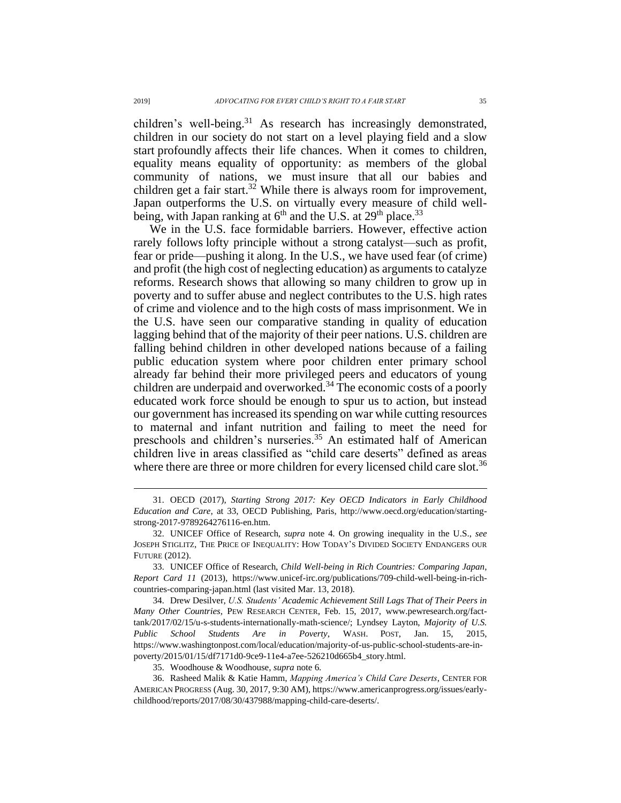children's well-being.<sup>31</sup> As research has increasingly demonstrated, children in our society do not start on a level playing field and a slow start profoundly affects their life chances. When it comes to children, equality means equality of opportunity: as members of the global community of nations, we must insure that all our babies and children get a fair start.<sup>32</sup> While there is always room for improvement, Japan outperforms the U.S. on virtually every measure of child wellbeing, with Japan ranking at  $6<sup>th</sup>$  and the U.S. at 29<sup>th</sup> place.<sup>33</sup>

We in the U.S. face formidable barriers. However, effective action rarely follows lofty principle without a strong catalyst—such as profit, fear or pride—pushing it along. In the U.S., we have used fear (of crime) and profit (the high cost of neglecting education) as arguments to catalyze reforms. Research shows that allowing so many children to grow up in poverty and to suffer abuse and neglect contributes to the U.S. high rates of crime and violence and to the high costs of mass imprisonment. We in the U.S. have seen our comparative standing in quality of education lagging behind that of the majority of their peer nations. U.S. children are falling behind children in other developed nations because of a failing public education system where poor children enter primary school already far behind their more privileged peers and educators of young children are underpaid and overworked.<sup>34</sup> The economic costs of a poorly educated work force should be enough to spur us to action, but instead our government has increased its spending on war while cutting resources to maternal and infant nutrition and failing to meet the need for preschools and children's nurseries.<sup>35</sup> An estimated half of American children live in areas classified as "child care deserts" defined as areas where there are three or more children for every licensed child care slot.<sup>36</sup>

<sup>31.</sup> OECD (2017), *Starting Strong 2017: Key OECD Indicators in Early Childhood Education and Care*, at 33, OECD Publishing, Paris, http://www.oecd.org/education/startingstrong-2017-9789264276116-en.htm.

<sup>32.</sup> UNICEF Office of Research, *supra* note [4.](#page-1-0) On growing inequality in the U.S., *see*  JOSEPH STIGLITZ, THE PRICE OF INEQUALITY: HOW TODAY'S DIVIDED SOCIETY ENDANGERS OUR FUTURE (2012).

<sup>33.</sup> UNICEF Office of Research, *Child Well-being in Rich Countries: Comparing Japan*, *Report Card 11* (2013), https://www.unicef-irc.org/publications/709-child-well-being-in-richcountries-comparing-japan.html (last visited Mar. 13, 2018).

<sup>34.</sup> Drew Desilver, *U.S. Students' Academic Achievement Still Lags That of Their Peers in Many Other Countries*, PEW RESEARCH CENTER, Feb. 15, 2017, www.pewresearch.org/facttank/2017/02/15/u-s-students-internationally-math-science/; Lyndsey Layton, *Majority of U.S. Public School Students Are in Poverty*, WASH. POST, Jan. 15, 2015, https://www.washingtonpost.com/local/education/majority-of-us-public-school-students-are-inpoverty/2015/01/15/df7171d0-9ce9-11e4-a7ee-526210d665b4\_story.html.

<sup>35.</sup> Woodhouse & Woodhouse, *supra* not[e 6.](#page-1-1)

<sup>36.</sup> Rasheed Malik & Katie Hamm, *Mapping America's Child Care Deserts*, CENTER FOR AMERICAN PROGRESS (Aug. 30, 2017, 9:30 AM), https://www.americanprogress.org/issues/earlychildhood/reports/2017/08/30/437988/mapping-child-care-deserts/.